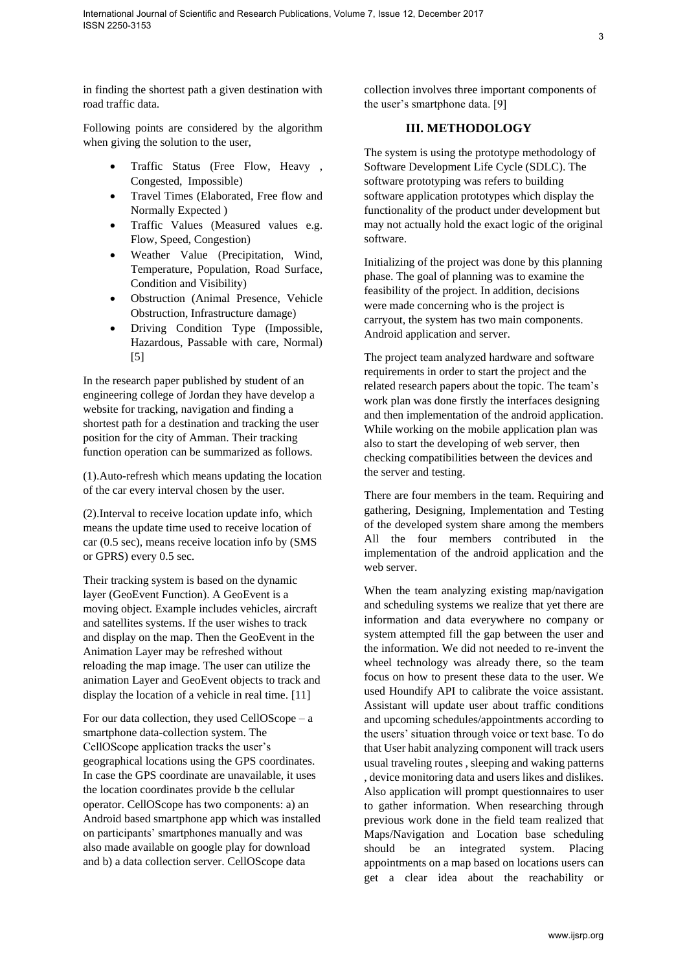in finding the shortest path a given destination with road traffic data.

Following points are considered by the algorithm when giving the solution to the user,

- Traffic Status (Free Flow, Heavy , Congested, Impossible)
- Travel Times (Elaborated, Free flow and Normally Expected )
- Traffic Values (Measured values e.g. Flow, Speed, Congestion)
- Weather Value (Precipitation, Wind, Temperature, Population, Road Surface, Condition and Visibility)
- Obstruction (Animal Presence, Vehicle Obstruction, Infrastructure damage)
- Driving Condition Type (Impossible, Hazardous, Passable with care, Normal) [5]

In the research paper published by student of an engineering college of Jordan they have develop a website for tracking, navigation and finding a shortest path for a destination and tracking the user position for the city of Amman. Their tracking function operation can be summarized as follows.

(1).Auto-refresh which means updating the location of the car every interval chosen by the user.

(2).Interval to receive location update info, which means the update time used to receive location of car (0.5 sec), means receive location info by (SMS or GPRS) every 0.5 sec.

Their tracking system is based on the dynamic layer (GeoEvent Function). A GeoEvent is a moving object. Example includes vehicles, aircraft and satellites systems. If the user wishes to track and display on the map. Then the GeoEvent in the Animation Layer may be refreshed without reloading the map image. The user can utilize the animation Layer and GeoEvent objects to track and display the location of a vehicle in real time. [11]

For our data collection, they used CellOScope – a smartphone data-collection system. The CellOScope application tracks the user's geographical locations using the GPS coordinates. In case the GPS coordinate are unavailable, it uses the location coordinates provide b the cellular operator. CellOScope has two components: a) an Android based smartphone app which was installed on participants' smartphones manually and was also made available on google play for download and b) a data collection server. CellOScope data

collection involves three important components of the user's smartphone data. [9]

## **III. METHODOLOGY**

The system is using the prototype methodology of Software Development Life Cycle (SDLC). The software prototyping was refers to building software application prototypes which display the functionality of the product under development but may not actually hold the exact logic of the original software.

Initializing of the project was done by this planning phase. The goal of planning was to examine the feasibility of the project. In addition, decisions were made concerning who is the project is carryout, the system has two main components. Android application and server.

The project team analyzed hardware and software requirements in order to start the project and the related research papers about the topic. The team's work plan was done firstly the interfaces designing and then implementation of the android application. While working on the mobile application plan was also to start the developing of web server, then checking compatibilities between the devices and the server and testing.

There are four members in the team. Requiring and gathering, Designing, Implementation and Testing of the developed system share among the members All the four members contributed in the implementation of the android application and the web server.

When the team analyzing existing map/navigation and scheduling systems we realize that yet there are information and data everywhere no company or system attempted fill the gap between the user and the information. We did not needed to re-invent the wheel technology was already there, so the team focus on how to present these data to the user. We used Houndify API to calibrate the voice assistant. Assistant will update user about traffic conditions and upcoming schedules/appointments according to the users' situation through voice or text base. To do that User habit analyzing component will track users usual traveling routes , sleeping and waking patterns , device monitoring data and users likes and dislikes. Also application will prompt questionnaires to user to gather information. When researching through previous work done in the field team realized that Maps/Navigation and Location base scheduling should be an integrated system. Placing appointments on a map based on locations users can get a clear idea about the reachability or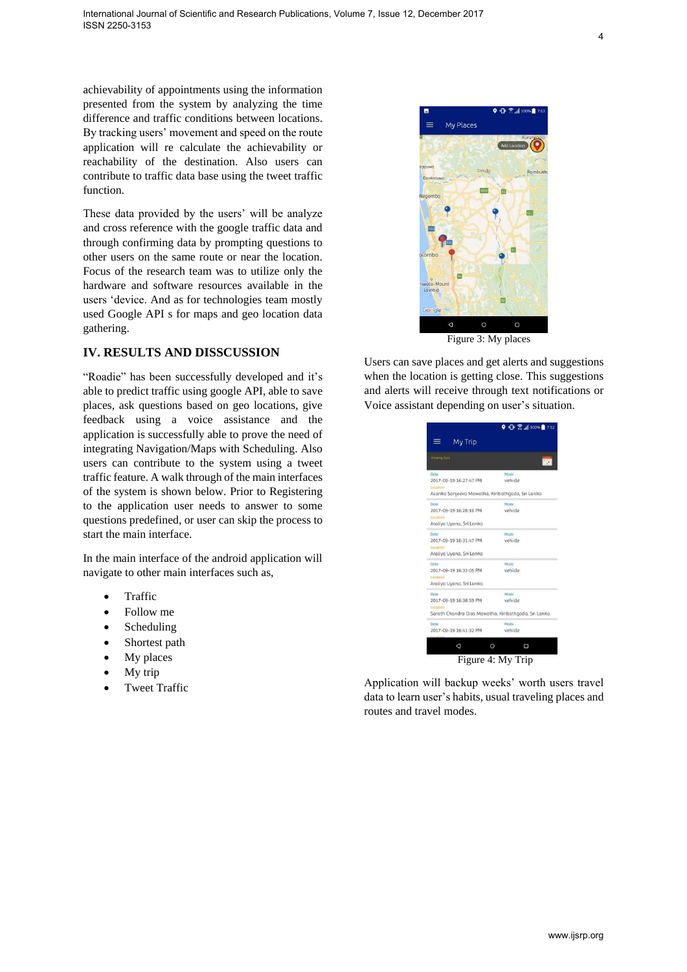achievability of appointments using the information presented from the system by analyzing the time difference and traffic conditions between locations. By tracking users' movement and speed on the route application will re calculate the achievability or reachability of the destination. Also users can contribute to traffic data base using the tweet traffic function.

These data provided by the users' will be analyze and cross reference with the google traffic data and through confirming data by prompting questions to other users on the same route or near the location. Focus of the research team was to utilize only the hardware and software resources available in the users 'device. And as for technologies team mostly used Google API s for maps and geo location data gathering.

## **IV. RESULTS AND DISSCUSSION**

"Roadie" has been successfully developed and it's able to predict traffic using google API, able to save places, ask questions based on geo locations, give feedback using a voice assistance and the application is successfully able to prove the need of integrating Navigation/Maps with Scheduling. Also users can contribute to the system using a tweet traffic feature. A walk through of the main interfaces of the system is shown below. Prior to Registering to the application user needs to answer to some questions predefined, or user can skip the process to start the main interface.

In the main interface of the android application will navigate to other main interfaces such as,

- Traffic
- Follow me
- Scheduling
- Shortest path
- My places
- My trip
- Tweet Traffic



Figure 3: My places

Users can save places and get alerts and suggestions when the location is getting close. This suggestions and alerts will receive through text notifications or Voice assistant depending on user's situation.



Application will backup weeks' worth users travel data to learn user's habits, usual traveling places and routes and travel modes.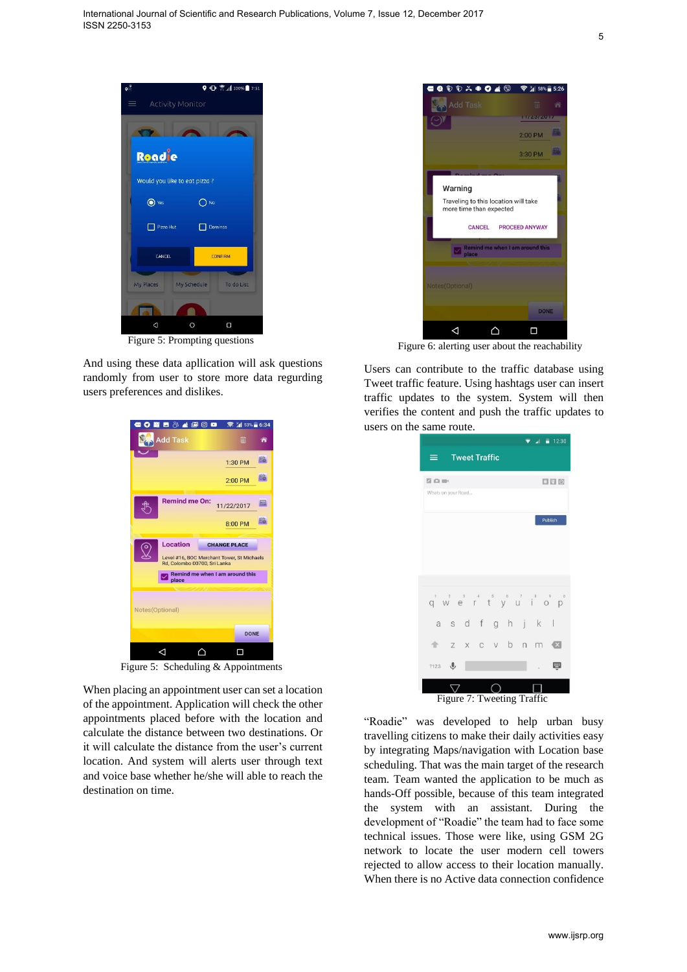

Figure 5: Prompting questions

And using these data apllication will ask questions randomly from user to store more data regurding users preferences and dislikes.



Figure 5: Scheduling & Appointments

When placing an appointment user can set a location of the appointment. Application will check the other appointments placed before with the location and calculate the distance between two destinations. Or it will calculate the distance from the user's current location. And system will alerts user through text and voice base whether he/she will able to reach the destination on time.



Figure 6: alerting user about the reachability

Users can contribute to the traffic database using Tweet traffic feature. Using hashtags user can insert traffic updates to the system. System will then verifies the content and push the traffic updates to users on the same route.



"Roadie" was developed to help urban busy travelling citizens to make their daily activities easy by integrating Maps/navigation with Location base scheduling. That was the main target of the research team. Team wanted the application to be much as hands-Off possible, because of this team integrated the system with an assistant. During the development of "Roadie" the team had to face some technical issues. Those were like, using GSM 2G network to locate the user modern cell towers rejected to allow access to their location manually. When there is no Active data connection confidence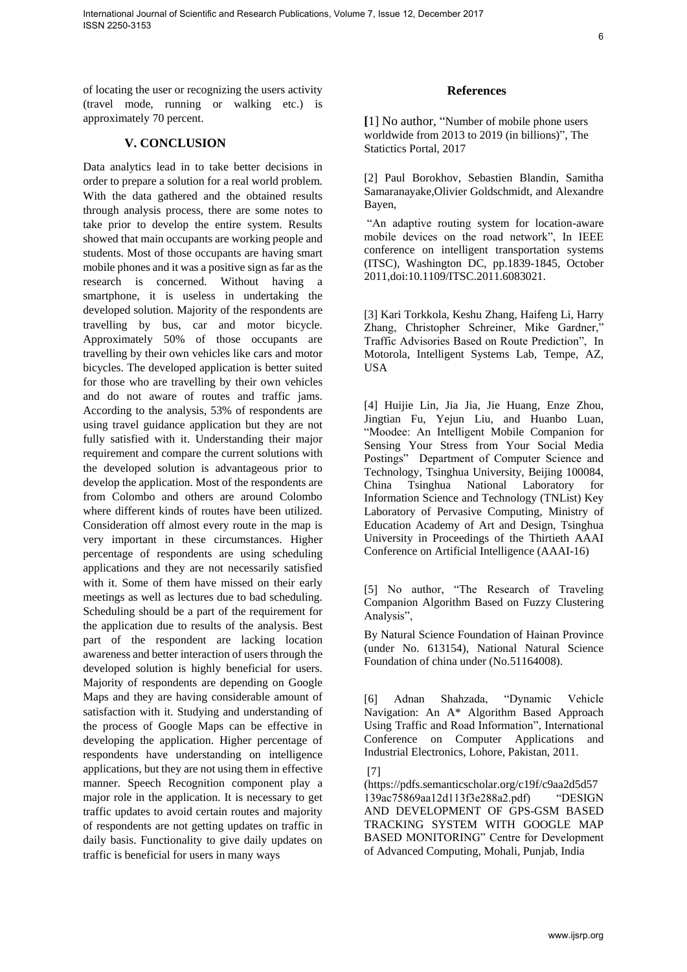of locating the user or recognizing the users activity (travel mode, running or walking etc.) is approximately 70 percent.

## **V. CONCLUSION**

Data analytics lead in to take better decisions in order to prepare a solution for a real world problem. With the data gathered and the obtained results through analysis process, there are some notes to take prior to develop the entire system. Results showed that main occupants are working people and students. Most of those occupants are having smart mobile phones and it was a positive sign as far as the research is concerned. Without having a smartphone, it is useless in undertaking the developed solution. Majority of the respondents are travelling by bus, car and motor bicycle. Approximately 50% of those occupants are travelling by their own vehicles like cars and motor bicycles. The developed application is better suited for those who are travelling by their own vehicles and do not aware of routes and traffic jams. According to the analysis, 53% of respondents are using travel guidance application but they are not fully satisfied with it. Understanding their major requirement and compare the current solutions with the developed solution is advantageous prior to develop the application. Most of the respondents are from Colombo and others are around Colombo where different kinds of routes have been utilized. Consideration off almost every route in the map is very important in these circumstances. Higher percentage of respondents are using scheduling applications and they are not necessarily satisfied with it. Some of them have missed on their early meetings as well as lectures due to bad scheduling. Scheduling should be a part of the requirement for the application due to results of the analysis. Best part of the respondent are lacking location awareness and better interaction of users through the developed solution is highly beneficial for users. Majority of respondents are depending on Google Maps and they are having considerable amount of satisfaction with it. Studying and understanding of the process of Google Maps can be effective in developing the application. Higher percentage of respondents have understanding on intelligence applications, but they are not using them in effective manner. Speech Recognition component play a major role in the application. It is necessary to get traffic updates to avoid certain routes and majority of respondents are not getting updates on traffic in daily basis. Functionality to give daily updates on traffic is beneficial for users in many ways

## **References**

**[**1] No author, "Number of mobile phone users worldwide from 2013 to 2019 (in billions)", The Statictics Portal, 2017

[2] Paul Borokhov, Sebastien Blandin, Samitha Samaranayake,Olivier Goldschmidt, and Alexandre Bayen,

"An adaptive routing system for location-aware mobile devices on the road network", In IEEE conference on intelligent transportation systems (ITSC), Washington DC, pp.1839-1845, October 2011,doi:10.1109/ITSC.2011.6083021.

[3] Kari Torkkola, Keshu Zhang, Haifeng Li, Harry Zhang, Christopher Schreiner, Mike Gardner," Traffic Advisories Based on Route Prediction", In Motorola, Intelligent Systems Lab, Tempe, AZ, USA

[4] Huijie Lin, Jia Jia, Jie Huang, Enze Zhou, Jingtian Fu, Yejun Liu, and Huanbo Luan, "Moodee: An Intelligent Mobile Companion for Sensing Your Stress from Your Social Media Postings" Department of Computer Science and Technology, Tsinghua University, Beijing 100084, China Tsinghua National Laboratory for Information Science and Technology (TNList) Key Laboratory of Pervasive Computing, Ministry of Education Academy of Art and Design, Tsinghua University in Proceedings of the Thirtieth AAAI Conference on Artificial Intelligence (AAAI-16)

[5] No author, "The Research of Traveling Companion Algorithm Based on Fuzzy Clustering Analysis",

By Natural Science Foundation of Hainan Province (under No. 613154), National Natural Science Foundation of china under (No.51164008).

[6] Adnan Shahzada, "Dynamic Vehicle Navigation: An A\* Algorithm Based Approach Using Traffic and Road Information", International Conference on Computer Applications and Industrial Electronics, Lohore, Pakistan, 2011.

[7]

(https://pdfs.semanticscholar.org/c19f/c9aa2d5d57 139ac75869aa12d113f3e288a2.pdf) "DESIGN AND DEVELOPMENT OF GPS-GSM BASED TRACKING SYSTEM WITH GOOGLE MAP BASED MONITORING" Centre for Development of Advanced Computing, Mohali, Punjab, India